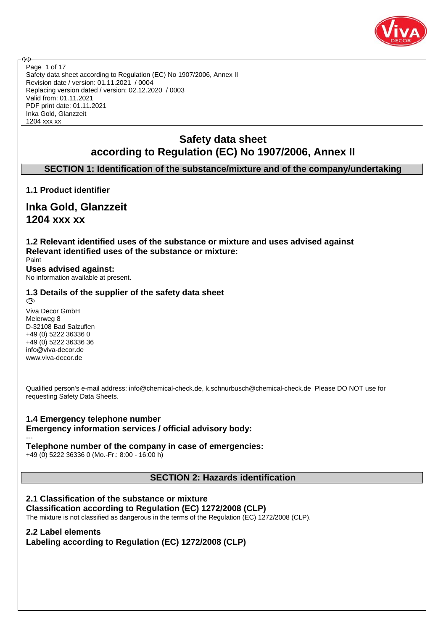

Safety data sheet according to Regulation (EC) No 1907/2006, Annex II Revision date / version: 01.11.2021 / 0004 Replacing version dated / version: 02.12.2020 / 0003 Valid from: 01.11.2021 PDF print date: 01.11.2021 Inka Gold, Glanzzeit 1204 xxx xx Page 1 of 17

## **Safety data sheet according to Regulation (EC) No 1907/2006, Annex II**

## **SECTION 1: Identification of the substance/mixture and of the company/undertaking**

## **1.1 Product identifier**

**ි** 

**Inka Gold, Glanzzeit 1204 xxx xx**

**1.2 Relevant identified uses of the substance or mixture and uses advised against Relevant identified uses of the substance or mixture:** Paint

**Uses advised against:** No information available at present.

# **1.3 Details of the supplier of the safety data sheet**

Viva Decor GmbH Meierweg 8 D-32108 Bad Salzuflen +49 (0) 5222 36336 0 +49 (0) 5222 36336 36 info@viva-decor.de www.viva-decor.de

---

Qualified person's e-mail address: info@chemical-check.de, k.schnurbusch@chemical-check.de Please DO NOT use for requesting Safety Data Sheets.

## **1.4 Emergency telephone number Emergency information services / official advisory body:**

## **Telephone number of the company in case of emergencies:**

+49 (0) 5222 36336 0 (Mo.-Fr.: 8:00 - 16:00 h)

**SECTION 2: Hazards identification**

## **2.1 Classification of the substance or mixture**

**Classification according to Regulation (EC) 1272/2008 (CLP)** The mixture is not classified as dangerous in the terms of the Regulation (EC) 1272/2008 (CLP).

## **2.2 Label elements**

**Labeling according to Regulation (EC) 1272/2008 (CLP)**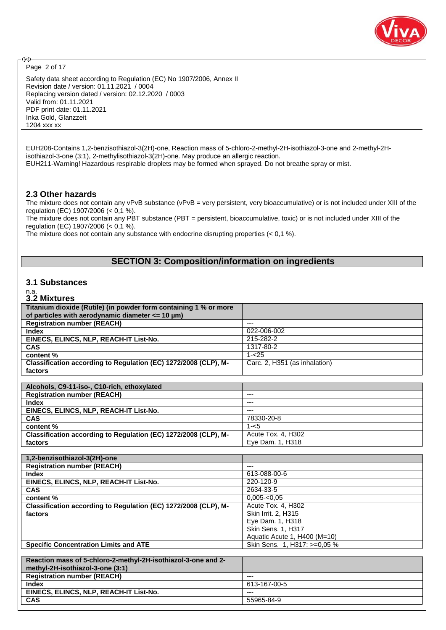

Page 2 of 17

⊛

Safety data sheet according to Regulation (EC) No 1907/2006, Annex II Revision date / version: 01.11.2021 / 0004 Replacing version dated / version: 02.12.2020 / 0003 Valid from: 01.11.2021 PDF print date: 01.11.2021 Inka Gold, Glanzzeit 1204 xxx xx

EUH208-Contains 1,2-benzisothiazol-3(2H)-one, Reaction mass of 5-chloro-2-methyl-2H-isothiazol-3-one and 2-methyl-2Hisothiazol-3-one (3:1), 2-methylisothiazol-3(2H)-one. May produce an allergic reaction. EUH211-Warning! Hazardous respirable droplets may be formed when sprayed. Do not breathe spray or mist.

## **2.3 Other hazards**

The mixture does not contain any vPvB substance (vPvB = very persistent, very bioaccumulative) or is not included under XIII of the regulation (EC) 1907/2006 (< 0,1 %).

The mixture does not contain any PBT substance (PBT = persistent, bioaccumulative, toxic) or is not included under XIII of the regulation (EC) 1907/2006 (< 0,1 %).

The mixture does not contain any substance with endocrine disrupting properties (< 0,1 %).

## **SECTION 3: Composition/information on ingredients**

## **3.1 Substances**

#### n.a. **3.2 Mixtures**

| Titanium dioxide (Rutile) (in powder form containing 1 % or more |                               |
|------------------------------------------------------------------|-------------------------------|
| of particles with aerodynamic diameter $<= 10 \mu m$ )           |                               |
| <b>Registration number (REACH)</b>                               | $---$                         |
| <b>Index</b>                                                     | 022-006-002                   |
| EINECS, ELINCS, NLP, REACH-IT List-No.                           | 215-282-2                     |
| CAS                                                              | 1317-80-2                     |
| content %                                                        | $1 - 25$                      |
| Classification according to Regulation (EC) 1272/2008 (CLP), M-  | Carc. 2, H351 (as inhalation) |
| factors                                                          |                               |
|                                                                  |                               |
| Alcohols, C9-11-iso-, C10-rich, ethoxylated                      |                               |
| <b>Registration number (REACH)</b>                               | ---                           |
| <b>Index</b>                                                     | ---                           |
| EINECS, ELINCS, NLP, REACH-IT List-No.                           | ---                           |
| CAS                                                              | 78330-20-8                    |
| content %                                                        | $1 - 5$                       |
| Classification according to Regulation (EC) 1272/2008 (CLP), M-  | Acute Tox. 4, H302            |
| factors                                                          | Eye Dam. 1, H318              |
|                                                                  |                               |
|                                                                  |                               |
| 1,2-benzisothiazol-3(2H)-one                                     |                               |
| <b>Registration number (REACH)</b>                               | $---$                         |
| Index                                                            | 613-088-00-6                  |
| EINECS, ELINCS, NLP, REACH-IT List-No.                           | 220-120-9                     |
| <b>CAS</b>                                                       | 2634-33-5                     |
| content %                                                        | $0,005 - 0,05$                |
| Classification according to Regulation (EC) 1272/2008 (CLP), M-  | Acute Tox. 4, H302            |
| factors                                                          | Skin Irrit. 2, H315           |
|                                                                  | Eye Dam. 1, H318              |
|                                                                  | Skin Sens. 1, H317            |
|                                                                  | Aquatic Acute 1, H400 (M=10)  |
| <b>Specific Concentration Limits and ATE</b>                     | Skin Sens. 1, H317: >=0,05 %  |
|                                                                  |                               |
| Reaction mass of 5-chloro-2-methyl-2H-isothiazol-3-one and 2-    |                               |
| methyl-2H-isothiazol-3-one (3:1)                                 |                               |
| <b>Registration number (REACH)</b>                               | $---$                         |
| <b>Index</b>                                                     | 613-167-00-5                  |
| EINECS, ELINCS, NLP, REACH-IT List-No.                           | ---                           |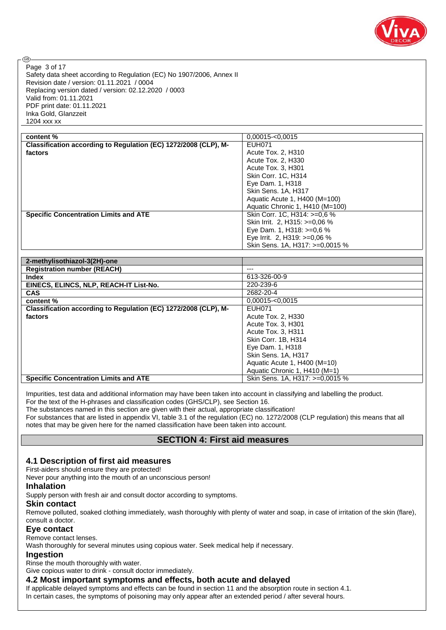

Safety data sheet according to Regulation (EC) No 1907/2006, Annex II Revision date / version: 01.11.2021 / 0004 Replacing version dated / version: 02.12.2020 / 0003 Valid from: 01.11.2021 PDF print date: 01.11.2021 Inka Gold, Glanzzeit 1204 xxx xx Page 3 of 17

| content %                                                       | $0.00015 - 0.0015$              |
|-----------------------------------------------------------------|---------------------------------|
| Classification according to Regulation (EC) 1272/2008 (CLP), M- | EUH071                          |
| factors                                                         | Acute Tox. 2, H310              |
|                                                                 | Acute Tox. 2. H330              |
|                                                                 | Acute Tox. 3, H301              |
|                                                                 | Skin Corr. 1C, H314             |
|                                                                 | Eye Dam. 1, H318                |
|                                                                 | Skin Sens. 1A, H317             |
|                                                                 | Aquatic Acute 1, H400 (M=100)   |
|                                                                 | Aquatic Chronic 1, H410 (M=100) |
| <b>Specific Concentration Limits and ATE</b>                    | Skin Corr. 1C, H314: >=0.6 %    |
|                                                                 | Skin Irrit. 2, H315: >=0,06 %   |
|                                                                 | Eye Dam. 1, H318: $>=0.6\%$     |
|                                                                 | Eye Irrit. 2, H319: >=0,06 %    |
|                                                                 | Skin Sens. 1A, H317: >=0,0015 % |

| 2-methylisothiazol-3(2H)-one                                    |                                 |
|-----------------------------------------------------------------|---------------------------------|
| <b>Registration number (REACH)</b>                              | ---                             |
| <b>Index</b>                                                    | 613-326-00-9                    |
| EINECS, ELINCS, NLP, REACH-IT List-No.                          | 220-239-6                       |
| <b>CAS</b>                                                      | 2682-20-4                       |
| content %                                                       | $0.00015 - 0.0015$              |
| Classification according to Regulation (EC) 1272/2008 (CLP), M- | <b>EUH071</b>                   |
| factors                                                         | Acute Tox. 2, H330              |
|                                                                 | Acute Tox. 3, H301              |
|                                                                 | Acute Tox. 3. H311              |
|                                                                 | Skin Corr. 1B. H314             |
|                                                                 | Eye Dam. 1, H318                |
|                                                                 | Skin Sens. 1A, H317             |
|                                                                 | Aquatic Acute 1, H400 (M=10)    |
|                                                                 | Aquatic Chronic 1, H410 (M=1)   |
| <b>Specific Concentration Limits and ATE</b>                    | Skin Sens. 1A, H317: >=0,0015 % |

Impurities, test data and additional information may have been taken into account in classifying and labelling the product. For the text of the H-phrases and classification codes (GHS/CLP), see Section 16.

The substances named in this section are given with their actual, appropriate classification!

For substances that are listed in appendix VI, table 3.1 of the regulation (EC) no. 1272/2008 (CLP regulation) this means that all notes that may be given here for the named classification have been taken into account.

## **SECTION 4: First aid measures**

## **4.1 Description of first aid measures**

#### First-aiders should ensure they are protected!

Never pour anything into the mouth of an unconscious person!

#### **Inhalation**

@

Supply person with fresh air and consult doctor according to symptoms.

## **Skin contact**

Remove polluted, soaked clothing immediately, wash thoroughly with plenty of water and soap, in case of irritation of the skin (flare), consult a doctor.

## **Eye contact**

Remove contact lenses.

Wash thoroughly for several minutes using copious water. Seek medical help if necessary.

## **Ingestion**

Rinse the mouth thoroughly with water.

Give copious water to drink - consult doctor immediately.

## **4.2 Most important symptoms and effects, both acute and delayed**

If applicable delayed symptoms and effects can be found in section 11 and the absorption route in section 4.1.

In certain cases, the symptoms of poisoning may only appear after an extended period / after several hours.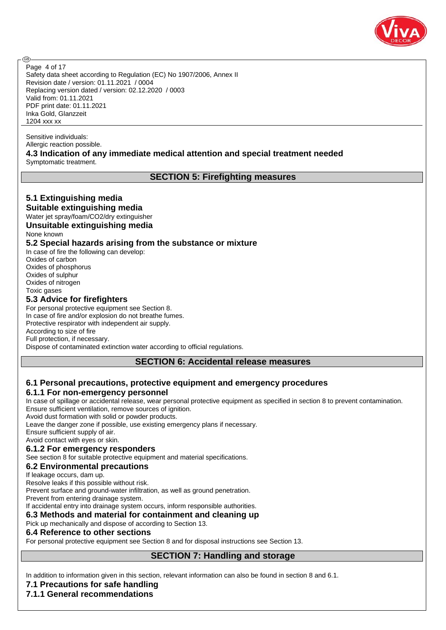

Safety data sheet according to Regulation (EC) No 1907/2006, Annex II Revision date / version: 01.11.2021 / 0004 Replacing version dated / version: 02.12.2020 / 0003 Valid from: 01.11.2021 PDF print date: 01.11.2021 Inka Gold, Glanzzeit 1204 xxx xx Page 4 of 17

Sensitive individuals: Allergic reaction possible. **4.3 Indication of any immediate medical attention and special treatment needed** Symptomatic treatment.

## **SECTION 5: Firefighting measures**

## **5.1 Extinguishing media**

**ි** 

**Suitable extinguishing media** Water jet spray/foam/CO2/dry extinguisher

**Unsuitable extinguishing media** None known

## **5.2 Special hazards arising from the substance or mixture**

In case of fire the following can develop: Oxides of carbon Oxides of phosphorus Oxides of sulphur Oxides of nitrogen Toxic gases

## **5.3 Advice for firefighters**

For personal protective equipment see Section 8. In case of fire and/or explosion do not breathe fumes. Protective respirator with independent air supply. According to size of fire Full protection, if necessary. Dispose of contaminated extinction water according to official regulations.

## **SECTION 6: Accidental release measures**

## **6.1 Personal precautions, protective equipment and emergency procedures**

## **6.1.1 For non-emergency personnel**

In case of spillage or accidental release, wear personal protective equipment as specified in section 8 to prevent contamination. Ensure sufficient ventilation, remove sources of ignition.

Avoid dust formation with solid or powder products.

Leave the danger zone if possible, use existing emergency plans if necessary.

Ensure sufficient supply of air.

Avoid contact with eyes or skin.

## **6.1.2 For emergency responders**

See section 8 for suitable protective equipment and material specifications.

#### **6.2 Environmental precautions**

If leakage occurs, dam up.

Resolve leaks if this possible without risk.

Prevent surface and ground-water infiltration, as well as ground penetration.

Prevent from entering drainage system.

If accidental entry into drainage system occurs, inform responsible authorities.

## **6.3 Methods and material for containment and cleaning up**

Pick up mechanically and dispose of according to Section 13.

#### **6.4 Reference to other sections**

For personal protective equipment see Section 8 and for disposal instructions see Section 13.

## **SECTION 7: Handling and storage**

In addition to information given in this section, relevant information can also be found in section 8 and 6.1.

## **7.1 Precautions for safe handling**

## **7.1.1 General recommendations**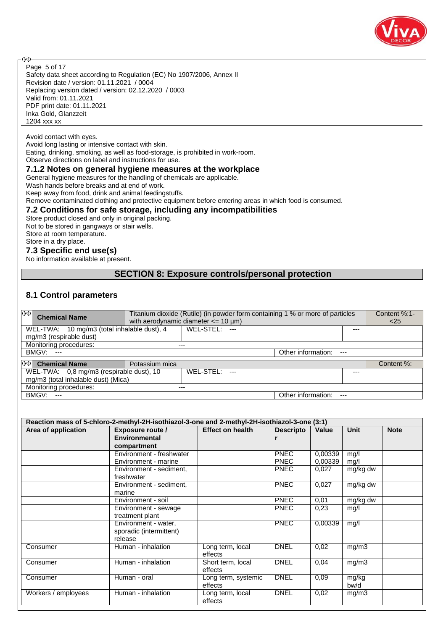

@

Safety data sheet according to Regulation (EC) No 1907/2006, Annex II Revision date / version: 01.11.2021 / 0004 Replacing version dated / version: 02.12.2020 / 0003 Valid from: 01.11.2021 PDF print date: 01.11.2021 Inka Gold, Glanzzeit 1204 xxx xx Page 5 of 17

#### Avoid contact with eyes.

Avoid long lasting or intensive contact with skin.

Eating, drinking, smoking, as well as food-storage, is prohibited in work-room.

Observe directions on label and instructions for use.

## **7.1.2 Notes on general hygiene measures at the workplace**

General hygiene measures for the handling of chemicals are applicable.

Wash hands before breaks and at end of work.

Keep away from food, drink and animal feedingstuffs.

Remove contaminated clothing and protective equipment before entering areas in which food is consumed.

#### **7.2 Conditions for safe storage, including any incompatibilities**

Store product closed and only in original packing. Not to be stored in gangways or stair wells.

Store at room temperature.

## Store in a dry place.

**7.3 Specific end use(s)**

No information available at present.

## **SECTION 8: Exposure controls/personal protection**

#### **8.1 Control parameters**

| ⊛<br><b>Chemical Name</b>                   | Titanium dioxide (Rutile) (in powder form containing 1 % or more of particles<br>with aerodynamic diameter $<= 10 \mu m$ ) |               | Content %:1-<br>$<$ 25 |       |            |
|---------------------------------------------|----------------------------------------------------------------------------------------------------------------------------|---------------|------------------------|-------|------------|
| WEL-TWA: 10 mg/m3 (total inhalable dust), 4 |                                                                                                                            | WEL-STEL: --- |                        | $---$ |            |
| mg/m3 (respirable dust)                     |                                                                                                                            |               |                        |       |            |
| Monitoring procedures:                      | $---$                                                                                                                      |               |                        |       |            |
| <b>BMGV: ---</b>                            |                                                                                                                            |               | Other information: --- |       |            |
| ⊛<br><b>Chemical Name</b>                   | Potassium mica                                                                                                             |               |                        |       | Content %: |
| WEL-TWA: 0,8 mg/m3 (respirable dust), 10    |                                                                                                                            | WEL-STEL: --- |                        | $---$ |            |
| mg/m3 (total inhalable dust) (Mica)         |                                                                                                                            |               |                        |       |            |
| Monitoring procedures:                      | ---                                                                                                                        |               |                        |       |            |
| BMGV:<br>$---$                              |                                                                                                                            |               | Other information:     | $---$ |            |

| Reaction mass of 5-chloro-2-methyl-2H-isothiazol-3-one and 2-methyl-2H-isothiazol-3-one (3:1) |                          |                         |                  |         |          |             |  |  |  |  |
|-----------------------------------------------------------------------------------------------|--------------------------|-------------------------|------------------|---------|----------|-------------|--|--|--|--|
| Area of application                                                                           | <b>Exposure route /</b>  | <b>Effect on health</b> | <b>Descripto</b> | Value   | Unit     | <b>Note</b> |  |  |  |  |
|                                                                                               | <b>Environmental</b>     |                         |                  |         |          |             |  |  |  |  |
|                                                                                               | compartment              |                         |                  |         |          |             |  |  |  |  |
|                                                                                               | Environment - freshwater |                         | <b>PNEC</b>      | 0,00339 | mq/l     |             |  |  |  |  |
|                                                                                               | Environment - marine     |                         | <b>PNEC</b>      | 0,00339 | mg/l     |             |  |  |  |  |
|                                                                                               | Environment - sediment,  |                         | <b>PNEC</b>      | 0,027   | mg/kg dw |             |  |  |  |  |
|                                                                                               | freshwater               |                         |                  |         |          |             |  |  |  |  |
|                                                                                               | Environment - sediment,  |                         | <b>PNEC</b>      | 0,027   | mg/kg dw |             |  |  |  |  |
|                                                                                               | marine                   |                         |                  |         |          |             |  |  |  |  |
|                                                                                               | Environment - soil       |                         | <b>PNEC</b>      | 0,01    | mg/kg dw |             |  |  |  |  |
|                                                                                               | Environment - sewage     |                         | <b>PNEC</b>      | 0,23    | mq/l     |             |  |  |  |  |
|                                                                                               | treatment plant          |                         |                  |         |          |             |  |  |  |  |
|                                                                                               | Environment - water,     |                         | <b>PNEC</b>      | 0,00339 | mg/l     |             |  |  |  |  |
|                                                                                               | sporadic (intermittent)  |                         |                  |         |          |             |  |  |  |  |
|                                                                                               | release                  |                         |                  |         |          |             |  |  |  |  |
| Consumer                                                                                      | Human - inhalation       | Long term, local        | <b>DNEL</b>      | 0,02    | mg/m3    |             |  |  |  |  |
|                                                                                               |                          | effects                 |                  |         |          |             |  |  |  |  |
| Consumer                                                                                      | Human - inhalation       | Short term, local       | <b>DNEL</b>      | 0,04    | mg/m3    |             |  |  |  |  |
|                                                                                               |                          | effects                 |                  |         |          |             |  |  |  |  |
| Consumer                                                                                      | Human - oral             | Long term, systemic     | <b>DNEL</b>      | 0.09    | mg/kg    |             |  |  |  |  |
|                                                                                               |                          | effects                 |                  |         | bw/d     |             |  |  |  |  |
| Workers / employees                                                                           | Human - inhalation       | Long term, local        | <b>DNEL</b>      | 0,02    | mg/m3    |             |  |  |  |  |
|                                                                                               |                          | effects                 |                  |         |          |             |  |  |  |  |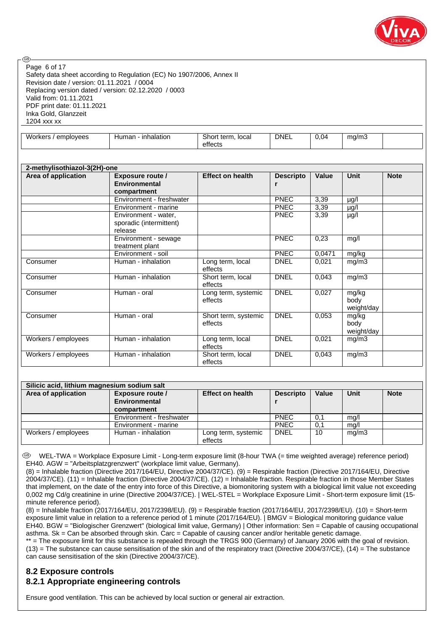

Safety data sheet according to Regulation (EC) No 1907/2006, Annex II Revision date / version: 01.11.2021 / 0004 Replacing version dated / version: 02.12.2020 / 0003 Valid from: 01.11.2021 PDF print date: 01.11.2021 Inka Gold, Glanzzeit 1204 xxx xx Page 6 of 17

**ි** 

|  |  | Workers.<br>employees | Human<br>inhalation | . Shor<br>* term.<br>local | <b>DNEL</b> | 0.04 | ma/m3 |  |
|--|--|-----------------------|---------------------|----------------------------|-------------|------|-------|--|
|--|--|-----------------------|---------------------|----------------------------|-------------|------|-------|--|

| 2-methylisothiazol-3(2H)-one |                                                                |                                 |                  |        |                             |             |  |  |  |  |
|------------------------------|----------------------------------------------------------------|---------------------------------|------------------|--------|-----------------------------|-------------|--|--|--|--|
| Area of application          | <b>Exposure route /</b><br><b>Environmental</b><br>compartment | <b>Effect on health</b>         | <b>Descripto</b> | Value  | Unit                        | <b>Note</b> |  |  |  |  |
|                              | Environment - freshwater                                       |                                 | <b>PNEC</b>      | 3,39   | µg/l                        |             |  |  |  |  |
|                              | Environment - marine                                           |                                 | <b>PNEC</b>      | 3,39   | µg/l                        |             |  |  |  |  |
|                              | Environment - water,<br>sporadic (intermittent)<br>release     |                                 | <b>PNEC</b>      | 3,39   | µg/l                        |             |  |  |  |  |
|                              | Environment - sewage<br>treatment plant                        |                                 | <b>PNEC</b>      | 0,23   | mg/l                        |             |  |  |  |  |
|                              | Environment - soil                                             |                                 | <b>PNEC</b>      | 0,0471 | mg/kg                       |             |  |  |  |  |
| Consumer                     | Human - inhalation                                             | Long term, local<br>effects     | <b>DNEL</b>      | 0,021  | mg/m3                       |             |  |  |  |  |
| Consumer                     | Human - inhalation                                             | Short term, local<br>effects    | <b>DNEL</b>      | 0,043  | mg/m3                       |             |  |  |  |  |
| Consumer                     | Human - oral                                                   | Long term, systemic<br>effects  | <b>DNEL</b>      | 0,027  | mg/kg<br>body<br>weight/day |             |  |  |  |  |
| Consumer                     | Human - oral                                                   | Short term, systemic<br>effects | <b>DNEL</b>      | 0,053  | mg/kg<br>body<br>weight/day |             |  |  |  |  |
| Workers / employees          | Human - inhalation                                             | Long term, local<br>effects     | <b>DNEL</b>      | 0,021  | mg/m3                       |             |  |  |  |  |
| Workers / employees          | Human - inhalation                                             | Short term, local<br>effects    | <b>DNEL</b>      | 0,043  | mg/m3                       |             |  |  |  |  |

| Silicic acid, lithium magnesium sodium salt |                                          |                                |                  |              |       |             |  |  |  |  |
|---------------------------------------------|------------------------------------------|--------------------------------|------------------|--------------|-------|-------------|--|--|--|--|
| Area of application                         | <b>Exposure route /</b><br>Environmental | <b>Effect on health</b>        | <b>Descripto</b> | <b>Value</b> | Unit  | <b>Note</b> |  |  |  |  |
|                                             | compartment                              |                                |                  |              |       |             |  |  |  |  |
|                                             | Environment - freshwater                 |                                | <b>PNEC</b>      | 0,1          | mg/l  |             |  |  |  |  |
|                                             | Environment - marine                     |                                | <b>PNEC</b>      | 0,1          | mq/l  |             |  |  |  |  |
| Workers / employees                         | Human - inhalation                       | Long term, systemic<br>effects | DNEL             | 10           | mg/m3 |             |  |  |  |  |

 WEL-TWA = Workplace Exposure Limit - Long-term exposure limit (8-hour TWA (= time weighted average) reference period) EH40. AGW = "Arbeitsplatzgrenzwert" (workplace limit value, Germany).

(8) = Inhalable fraction (Directive 2017/164/EU, Directive 2004/37/CE). (9) = Respirable fraction (Directive 2017/164/EU, Directive 2004/37/CE). (11) = Inhalable fraction (Directive 2004/37/CE). (12) = Inhalable fraction. Respirable fraction in those Member States that implement, on the date of the entry into force of this Directive, a biomonitoring system with a biological limit value not exceeding 0,002 mg Cd/g creatinine in urine (Directive 2004/37/CE). | WEL-STEL = Workplace Exposure Limit - Short-term exposure limit (15minute reference period).

(8) = Inhalable fraction (2017/164/EU, 2017/2398/EU). (9) = Respirable fraction (2017/164/EU, 2017/2398/EU). (10) = Short-term exposure limit value in relation to a reference period of 1 minute (2017/164/EU). | BMGV = Biological monitoring guidance value EH40. BGW = "Biologischer Grenzwert" (biological limit value, Germany) | Other information: Sen = Capable of causing occupational asthma. Sk = Can be absorbed through skin. Carc = Capable of causing cancer and/or heritable genetic damage.

\*\* = The exposure limit for this substance is repealed through the TRGS 900 (Germany) of January 2006 with the goal of revision.  $(13)$  = The substance can cause sensitisation of the skin and of the respiratory tract (Directive 2004/37/CE),  $(14)$  = The substance can cause sensitisation of the skin (Directive 2004/37/CE).

## **8.2 Exposure controls 8.2.1 Appropriate engineering controls**

Ensure good ventilation. This can be achieved by local suction or general air extraction.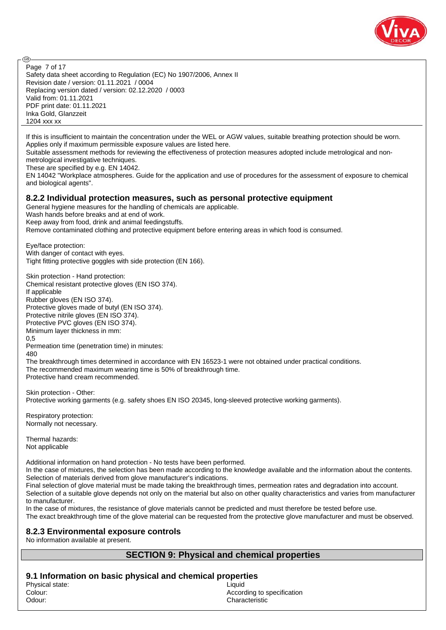

Safety data sheet according to Regulation (EC) No 1907/2006, Annex II Revision date / version: 01.11.2021 / 0004 Replacing version dated / version: 02.12.2020 / 0003 Valid from: 01.11.2021 PDF print date: 01.11.2021 Inka Gold, Glanzzeit 1204 xxx xx Page 7 of 17

If this is insufficient to maintain the concentration under the WEL or AGW values, suitable breathing protection should be worn. Applies only if maximum permissible exposure values are listed here.

Suitable assessment methods for reviewing the effectiveness of protection measures adopted include metrological and nonmetrological investigative techniques.

These are specified by e.g. EN 14042.

EN 14042 "Workplace atmospheres. Guide for the application and use of procedures for the assessment of exposure to chemical and biological agents".

#### **8.2.2 Individual protection measures, such as personal protective equipment**

General hygiene measures for the handling of chemicals are applicable. Wash hands before breaks and at end of work. Keep away from food, drink and animal feedingstuffs. Remove contaminated clothing and protective equipment before entering areas in which food is consumed.

Eye/face protection: With danger of contact with eyes. Tight fitting protective goggles with side protection (EN 166).

Skin protection - Hand protection: Chemical resistant protective gloves (EN ISO 374). If applicable Rubber gloves (EN ISO 374). Protective gloves made of butyl (EN ISO 374). Protective nitrile gloves (EN ISO 374). Protective PVC gloves (EN ISO 374). Minimum layer thickness in mm:

0,5 Permeation time (penetration time) in minutes:

480

**ි** 

The breakthrough times determined in accordance with EN 16523-1 were not obtained under practical conditions. The recommended maximum wearing time is 50% of breakthrough time. Protective hand cream recommended.

Skin protection - Other: Protective working garments (e.g. safety shoes EN ISO 20345, long-sleeved protective working garments).

Respiratory protection: Normally not necessary.

Thermal hazards: Not applicable

Additional information on hand protection - No tests have been performed.

In the case of mixtures, the selection has been made according to the knowledge available and the information about the contents. Selection of materials derived from glove manufacturer's indications.

Final selection of glove material must be made taking the breakthrough times, permeation rates and degradation into account. Selection of a suitable glove depends not only on the material but also on other quality characteristics and varies from manufacturer to manufacturer.

In the case of mixtures, the resistance of glove materials cannot be predicted and must therefore be tested before use.

The exact breakthrough time of the glove material can be requested from the protective glove manufacturer and must be observed.

## **8.2.3 Environmental exposure controls**

No information available at present.

## **SECTION 9: Physical and chemical properties**

**9.1 Information on basic physical and chemical properties**

Physical state: Liquid

Colour: Colour: According to specification Odour: Characteristic Characteristic Characteristic Characteristic Characteristic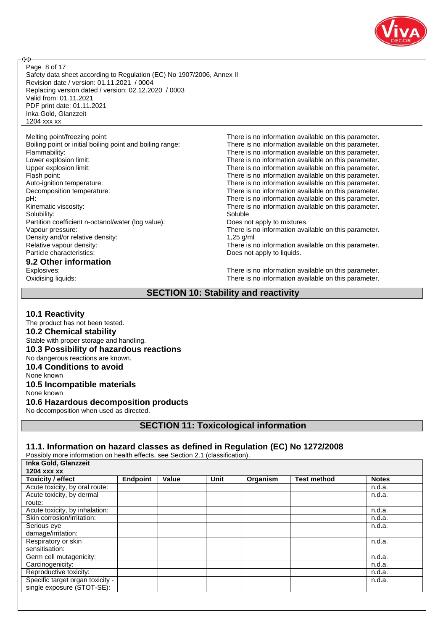

**ි** 

Safety data sheet according to Regulation (EC) No 1907/2006, Annex II Revision date / version: 01.11.2021 / 0004 Replacing version dated / version: 02.12.2020 / 0003 Valid from: 01.11.2021 PDF print date: 01.11.2021 Inka Gold, Glanzzeit 1204 xxx xx Page 8 of 17

Melting point/freezing point: There is no information available on this parameter.

Solubility: Soluble Soluble Soluble Soluble Soluble Soluble Soluble Soluble Soluble Soluble Soluble Soluble Soluble Soluble Soluble Soluble Soluble Soluble Soluble Soluble Soluble Soluble Soluble Soluble Soluble Soluble So Partition coefficient n-octanol/water (log value): Does not apply to mixtures. Density and/or relative density: 1,25 g/ml Relative vapour density:<br>
Particle characteristics:<br>
Particle characteristics:<br>
Does not apply to liquids.

## **9.2 Other information**

Boiling point or initial boiling point and boiling range: There is no information available on this parameter. Flammability:<br>
Lower explosion limit:<br>
Lower explosion limit:<br>
There is no information available on this parameter. There is no information available on this parameter. Upper explosion limit: Upper explosion limit: There is no information available on this parameter. Flash point:<br>
Auto-ignition temperature:<br>
Auto-ignition temperature:<br>
There is no information available on this parameter. There is no information available on this parameter. Decomposition temperature: There is no information available on this parameter. pH: pH:  $P$  and  $P$  and  $P$  are  $P$  are  $P$  are  $P$  are  $P$  are  $P$  are  $P$  are  $P$  and  $P$  are  $P$  are  $P$  are  $P$  are  $P$  are  $P$  are  $P$  are  $P$  are  $P$  are  $P$  are  $P$  are  $P$  are  $P$  are  $P$  are  $P$  are  $P$  are  $P$  ar Kinematic viscosity: There is no information available on this parameter. Vapour pressure: There is no information available on this parameter. Does not apply to liquids.

Explosives:<br>
Comparison of the University of the University of the University of the University of There is no information available on this parameter.<br>
There is no information available on this parameter. There is no information available on this parameter.

## **SECTION 10: Stability and reactivity**

#### **10.1 Reactivity**

The product has not been tested. **10.2 Chemical stability** Stable with proper storage and handling. **10.3 Possibility of hazardous reactions** No dangerous reactions are known. **10.4 Conditions to avoid** None known **10.5 Incompatible materials** None known **10.6 Hazardous decomposition products**

No decomposition when used as directed.

**SECTION 11: Toxicological information**

## **11.1. Information on hazard classes as defined in Regulation (EC) No 1272/2008**

Possibly more information on health effects, see Section 2.1 (classification). **Inka Gold, Glanz** 

| $1110$ OUIU, OIAIILLUI           |                 |       |             |          |                    |              |
|----------------------------------|-----------------|-------|-------------|----------|--------------------|--------------|
| 1204 xxx xx                      |                 |       |             |          |                    |              |
| <b>Toxicity / effect</b>         | <b>Endpoint</b> | Value | <b>Unit</b> | Organism | <b>Test method</b> | <b>Notes</b> |
| Acute toxicity, by oral route:   |                 |       |             |          |                    | n.d.a.       |
| Acute toxicity, by dermal        |                 |       |             |          |                    | n.d.a.       |
| route:                           |                 |       |             |          |                    |              |
| Acute toxicity, by inhalation:   |                 |       |             |          |                    | n.d.a.       |
| Skin corrosion/irritation:       |                 |       |             |          |                    | n.d.a.       |
| Serious eye                      |                 |       |             |          |                    | n.d.a.       |
| damage/irritation:               |                 |       |             |          |                    |              |
| Respiratory or skin              |                 |       |             |          |                    | n.d.a.       |
| sensitisation:                   |                 |       |             |          |                    |              |
| Germ cell mutagenicity:          |                 |       |             |          |                    | n.d.a.       |
| Carcinogenicity:                 |                 |       |             |          |                    | n.d.a.       |
| Reproductive toxicity:           |                 |       |             |          |                    | n.d.a.       |
| Specific target organ toxicity - |                 |       |             |          |                    | n.d.a.       |
| single exposure (STOT-SE):       |                 |       |             |          |                    |              |
|                                  |                 |       |             |          |                    |              |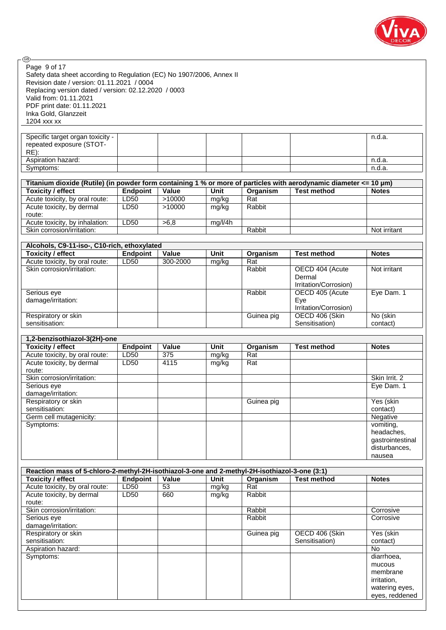

| @).                                                                                                               |                         |                          |             |            |                       |                                   |
|-------------------------------------------------------------------------------------------------------------------|-------------------------|--------------------------|-------------|------------|-----------------------|-----------------------------------|
| Page 9 of 17                                                                                                      |                         |                          |             |            |                       |                                   |
| Safety data sheet according to Regulation (EC) No 1907/2006, Annex II                                             |                         |                          |             |            |                       |                                   |
| Revision date / version: 01.11.2021 / 0004                                                                        |                         |                          |             |            |                       |                                   |
| Replacing version dated / version: 02.12.2020 / 0003                                                              |                         |                          |             |            |                       |                                   |
| Valid from: 01.11.2021                                                                                            |                         |                          |             |            |                       |                                   |
| PDF print date: 01.11.2021                                                                                        |                         |                          |             |            |                       |                                   |
| Inka Gold, Glanzzeit                                                                                              |                         |                          |             |            |                       |                                   |
| 1204 xxx xx                                                                                                       |                         |                          |             |            |                       |                                   |
|                                                                                                                   |                         |                          |             |            |                       |                                   |
| Specific target organ toxicity -                                                                                  |                         |                          |             |            |                       | n.d.a.                            |
| repeated exposure (STOT-                                                                                          |                         |                          |             |            |                       |                                   |
| $RE)$ :                                                                                                           |                         |                          |             |            |                       |                                   |
| Aspiration hazard:                                                                                                |                         |                          |             |            |                       | n.d.a.                            |
| Symptoms:                                                                                                         |                         |                          |             |            |                       | n.d.a.                            |
|                                                                                                                   |                         |                          |             |            |                       |                                   |
| Titanium dioxide (Rutile) (in powder form containing 1 % or more of particles with aerodynamic diameter <= 10 µm) |                         |                          |             |            |                       |                                   |
| <b>Toxicity / effect</b>                                                                                          | <b>Endpoint</b>         | Value                    | <b>Unit</b> | Organism   | <b>Test method</b>    | <b>Notes</b>                      |
| Acute toxicity, by oral route:                                                                                    | LD50                    | >10000                   | mg/kg       | Rat        |                       |                                   |
| Acute toxicity, by dermal                                                                                         | LD50                    | >10000                   | mg/kg       | Rabbit     |                       |                                   |
| route:                                                                                                            |                         |                          |             |            |                       |                                   |
| Acute toxicity, by inhalation:                                                                                    | LD50                    | >6,8                     | mg/l/4h     |            |                       |                                   |
| Skin corrosion/irritation:                                                                                        |                         |                          |             | Rabbit     |                       | Not irritant                      |
|                                                                                                                   |                         |                          |             |            |                       |                                   |
| Alcohols, C9-11-iso-, C10-rich, ethoxylated                                                                       |                         |                          |             |            |                       |                                   |
| <b>Toxicity / effect</b>                                                                                          | <b>Endpoint</b>         | Value                    | <b>Unit</b> | Organism   | <b>Test method</b>    | <b>Notes</b>                      |
| Acute toxicity, by oral route:                                                                                    | LD50                    | 300-2000                 | mg/kg       | Rat        |                       |                                   |
| Skin corrosion/irritation:                                                                                        |                         |                          |             | Rabbit     | OECD 404 (Acute       | Not irritant                      |
|                                                                                                                   |                         |                          |             |            | Dermal                |                                   |
|                                                                                                                   |                         |                          |             |            | Irritation/Corrosion) |                                   |
| Serious eye                                                                                                       |                         |                          |             | Rabbit     | OECD 405 (Acute       | Eye Dam. 1                        |
| damage/irritation:                                                                                                |                         |                          |             |            | Eye                   |                                   |
|                                                                                                                   |                         |                          |             |            | Irritation/Corrosion) |                                   |
| Respiratory or skin                                                                                               |                         |                          |             | Guinea pig | OECD 406 (Skin        | No (skin                          |
| sensitisation:                                                                                                    |                         |                          |             |            | Sensitisation)        | contact)                          |
|                                                                                                                   |                         |                          |             |            |                       |                                   |
|                                                                                                                   |                         |                          |             |            |                       |                                   |
|                                                                                                                   |                         |                          |             |            |                       |                                   |
| 1,2-benzisothiazol-3(2H)-one                                                                                      |                         |                          | <b>Unit</b> |            |                       |                                   |
| <b>Toxicity / effect</b>                                                                                          | <b>Endpoint</b>         | Value                    |             | Organism   | <b>Test method</b>    | <b>Notes</b>                      |
| Acute toxicity, by oral route:                                                                                    | LD50                    | $\overline{375}$<br>4115 | mg/kg       | Rat        |                       |                                   |
| Acute toxicity, by dermal<br>route:                                                                               | LD50                    |                          | mg/kg       | Rat        |                       |                                   |
| Skin corrosion/irritation:                                                                                        |                         |                          |             |            |                       | Skin Irrit. 2                     |
|                                                                                                                   |                         |                          |             |            |                       |                                   |
| Serious eye                                                                                                       |                         |                          |             |            |                       | Eye Dam. 1                        |
| damage/irritation:                                                                                                |                         |                          |             |            |                       |                                   |
| Respiratory or skin<br>sensitisation:                                                                             |                         |                          |             | Guinea pig |                       | Yes (skin                         |
|                                                                                                                   |                         |                          |             |            |                       | contact)<br><b>Negative</b>       |
| Germ cell mutagenicity:                                                                                           |                         |                          |             |            |                       |                                   |
| Symptoms:                                                                                                         |                         |                          |             |            |                       | vomiting,                         |
|                                                                                                                   |                         |                          |             |            |                       | headaches,                        |
|                                                                                                                   |                         |                          |             |            |                       | gastrointestinal<br>disturbances, |
|                                                                                                                   |                         |                          |             |            |                       | nausea                            |
|                                                                                                                   |                         |                          |             |            |                       |                                   |
| Reaction mass of 5-chloro-2-methyl-2H-isothiazol-3-one and 2-methyl-2H-isothiazol-3-one (3:1)                     |                         |                          |             |            |                       |                                   |
| <b>Toxicity / effect</b>                                                                                          |                         | Value                    | Unit        | Organism   | <b>Test method</b>    | <b>Notes</b>                      |
|                                                                                                                   | <b>Endpoint</b><br>LD50 | 53                       | mg/kg       | Rat        |                       |                                   |
| Acute toxicity, by oral route:<br>Acute toxicity, by dermal                                                       | LD50                    | 660                      | mg/kg       | Rabbit     |                       |                                   |
| route:                                                                                                            |                         |                          |             |            |                       |                                   |
| Skin corrosion/irritation:                                                                                        |                         |                          |             | Rabbit     |                       | Corrosive                         |
| Serious eye                                                                                                       |                         |                          |             | Rabbit     |                       | Corrosive                         |
| damage/irritation:                                                                                                |                         |                          |             |            |                       |                                   |
| Respiratory or skin                                                                                               |                         |                          |             | Guinea pig | OECD 406 (Skin        | Yes (skin                         |
| sensitisation:                                                                                                    |                         |                          |             |            | Sensitisation)        | contact)                          |
| Aspiration hazard:                                                                                                |                         |                          |             |            |                       | No                                |
| Symptoms:                                                                                                         |                         |                          |             |            |                       | diarrhoea,                        |
|                                                                                                                   |                         |                          |             |            |                       | mucous                            |
|                                                                                                                   |                         |                          |             |            |                       | membrane                          |
|                                                                                                                   |                         |                          |             |            |                       | irritation,                       |
|                                                                                                                   |                         |                          |             |            |                       | watering eyes,                    |
|                                                                                                                   |                         |                          |             |            |                       | eyes, reddened                    |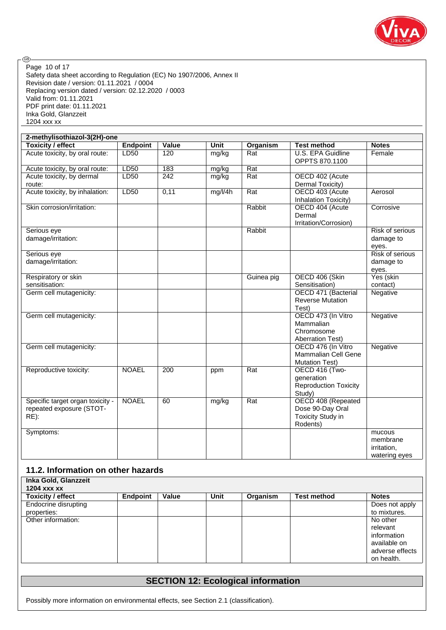

⊛ Page 10 of 17Safety data sheet according to Regulation (EC) No 1907/2006, Annex II Revision date / version: 01.11.2021 / 0004 Replacing version dated / version: 02.12.2020 / 0003 Valid from: 01.11.2021 PDF print date: 01.11.2021 Inka Gold, Glanzzeit 1204 xxx xx

| 2-methylisothiazol-3(2H)-one                                            |                 |                  |             |                  |                                                                                |                                                    |  |  |
|-------------------------------------------------------------------------|-----------------|------------------|-------------|------------------|--------------------------------------------------------------------------------|----------------------------------------------------|--|--|
| <b>Toxicity / effect</b>                                                | <b>Endpoint</b> | Value            | <b>Unit</b> | Organism         | <b>Test method</b>                                                             | <b>Notes</b>                                       |  |  |
| Acute toxicity, by oral route:                                          | LD50            | 120              | mg/kg       | Rat              | <b>U.S. EPA Guidline</b><br>OPPTS 870.1100                                     | Female                                             |  |  |
| Acute toxicity, by oral route:                                          | LD50            | 183              | mg/kg       | Rat              |                                                                                |                                                    |  |  |
| Acute toxicity, by dermal<br>route:                                     | LD50            | $\overline{242}$ | mg/kg       | Rat              | OECD 402 (Acute<br>Dermal Toxicity)                                            |                                                    |  |  |
| Acute toxicity, by inhalation:                                          | LD50            | 0,11             | mg/l/4h     | $\overline{Rat}$ | OECD 403 (Acute<br>Inhalation Toxicity)                                        | Aerosol                                            |  |  |
| Skin corrosion/irritation:                                              |                 |                  |             | Rabbit           | OECD 404 (Acute<br>Dermal<br>Irritation/Corrosion)                             | Corrosive                                          |  |  |
| Serious eye<br>damage/irritation:                                       |                 |                  |             | Rabbit           |                                                                                | Risk of serious<br>damage to<br>eyes.              |  |  |
| Serious eye<br>damage/irritation:                                       |                 |                  |             |                  |                                                                                | <b>Risk of serious</b><br>damage to<br>eyes.       |  |  |
| Respiratory or skin<br>sensitisation:                                   |                 |                  |             | Guinea pig       | OECD 406 (Skin<br>Sensitisation)                                               | Yes (skin<br>contact)                              |  |  |
| Germ cell mutagenicity:                                                 |                 |                  |             |                  | OECD 471 (Bacterial<br><b>Reverse Mutation</b><br>Test)                        | <b>Negative</b>                                    |  |  |
| Germ cell mutagenicity:                                                 |                 |                  |             |                  | OECD 473 (In Vitro<br>Mammalian<br>Chromosome<br><b>Aberration Test)</b>       | Negative                                           |  |  |
| Germ cell mutagenicity:                                                 |                 |                  |             |                  | OECD 476 (In Vitro<br>Mammalian Cell Gene<br><b>Mutation Test)</b>             | Negative                                           |  |  |
| Reproductive toxicity:                                                  | <b>NOAEL</b>    | 200              | ppm         | Rat              | OECD 416 (Two-<br>generation<br><b>Reproduction Toxicity</b><br>Study)         |                                                    |  |  |
| Specific target organ toxicity -<br>repeated exposure (STOT-<br>$RE)$ : | <b>NOAEL</b>    | 60               | mg/kg       | Rat              | OECD 408 (Repeated<br>Dose 90-Day Oral<br><b>Toxicity Study in</b><br>Rodents) |                                                    |  |  |
| Symptoms:                                                               |                 |                  |             |                  |                                                                                | mucous<br>membrane<br>irritation,<br>watering eyes |  |  |

## **11.2. Information on other hazards**

| Inka Gold, Glanzzeit<br>1204 xxx xx |                 |       |             |          |                    |                                                                                      |
|-------------------------------------|-----------------|-------|-------------|----------|--------------------|--------------------------------------------------------------------------------------|
| <b>Toxicity / effect</b>            | <b>Endpoint</b> | Value | <b>Unit</b> | Organism | <b>Test method</b> | <b>Notes</b>                                                                         |
| Endocrine disrupting<br>properties: |                 |       |             |          |                    | Does not apply<br>to mixtures.                                                       |
| Other information:                  |                 |       |             |          |                    | No other<br>relevant<br>information<br>available on<br>adverse effects<br>on health. |

## **SECTION 12: Ecological information**

Possibly more information on environmental effects, see Section 2.1 (classification).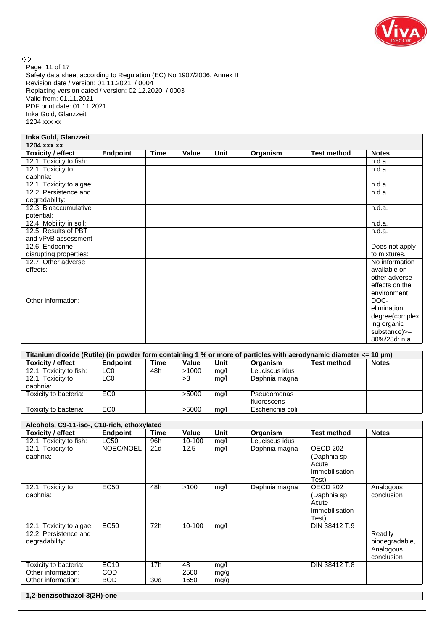

Safety data sheet according to Regulation (EC) No 1907/2006, Annex II Revision date / version: 01.11.2021 / 0004 Replacing version dated / version: 02.12.2020 / 0003 Valid from: 01.11.2021 PDF print date: 01.11.2021 Inka Gold, Glanzzeit 1204 xxx xx Page 11 of 17

.

| Inka Gold, Glanzzeit     |          |             |       |             |          |                    |                |
|--------------------------|----------|-------------|-------|-------------|----------|--------------------|----------------|
| 1204 xxx xx              |          |             |       |             |          |                    |                |
| <b>Toxicity / effect</b> | Endpoint | <b>Time</b> | Value | <b>Unit</b> | Organism | <b>Test method</b> | <b>Notes</b>   |
| 12.1. Toxicity to fish:  |          |             |       |             |          |                    | n.d.a.         |
| 12.1. Toxicity to        |          |             |       |             |          |                    | n.d.a.         |
| daphnia:                 |          |             |       |             |          |                    |                |
| 12.1. Toxicity to algae: |          |             |       |             |          |                    | n.d.a.         |
| 12.2. Persistence and    |          |             |       |             |          |                    | n.d.a.         |
| degradability:           |          |             |       |             |          |                    |                |
| 12.3. Bioaccumulative    |          |             |       |             |          |                    | n.d.a.         |
| potential:               |          |             |       |             |          |                    |                |
| 12.4. Mobility in soil:  |          |             |       |             |          |                    | n.d.a.         |
| 12.5. Results of PBT     |          |             |       |             |          |                    | n.d.a.         |
| and vPvB assessment      |          |             |       |             |          |                    |                |
| 12.6. Endocrine          |          |             |       |             |          |                    | Does not apply |
| disrupting properties:   |          |             |       |             |          |                    | to mixtures.   |
| 12.7. Other adverse      |          |             |       |             |          |                    | No information |
| effects:                 |          |             |       |             |          |                    | available on   |
|                          |          |             |       |             |          |                    | other adverse  |
|                          |          |             |       |             |          |                    | effects on the |
|                          |          |             |       |             |          |                    | environment.   |
| Other information:       |          |             |       |             |          |                    | DOC-           |
|                          |          |             |       |             |          |                    | elimination    |
|                          |          |             |       |             |          |                    | degree(complex |
|                          |          |             |       |             |          |                    | ing organic    |
|                          |          |             |       |             |          |                    | substance)>=   |
|                          |          |             |       |             |          |                    | 80%/28d: n.a.  |

| Titanium dioxide (Rutile) (in powder form containing 1 % or more of particles with aerodynamic diameter $\leq 10 \,\mu m$ ) |                 |      |       |      |                            |                    |              |  |
|-----------------------------------------------------------------------------------------------------------------------------|-----------------|------|-------|------|----------------------------|--------------------|--------------|--|
| <b>Toxicity / effect</b>                                                                                                    | Endpoint        | Time | Value | Unit | Organism                   | <b>Test method</b> | <b>Notes</b> |  |
| 12.1. Toxicity to fish:                                                                                                     | LC <sub>0</sub> | 48h  | >1000 | mq/l | Leuciscus idus             |                    |              |  |
| 12.1. Toxicity to<br>daphnia:                                                                                               | LC <sub>0</sub> |      | >3    | mq/l | Daphnia magna              |                    |              |  |
| Toxicity to bacteria:                                                                                                       | EC <sub>0</sub> |      | >5000 | mg/l | Pseudomonas<br>fluorescens |                    |              |  |
| Toxicity to bacteria:                                                                                                       | EC <sub>0</sub> |      | >5000 | mq/l | Escherichia coli           |                    |              |  |

| Alcohols, C9-11-iso-, C10-rich, ethoxylated |             |                 |        |             |                |                                                                                |                                                      |
|---------------------------------------------|-------------|-----------------|--------|-------------|----------------|--------------------------------------------------------------------------------|------------------------------------------------------|
| <b>Toxicity / effect</b>                    | Endpoint    | <b>Time</b>     | Value  | <b>Unit</b> | Organism       | <b>Test method</b>                                                             | <b>Notes</b>                                         |
| 12.1. Toxicity to fish:                     | <b>LC50</b> | 96h             | 10-100 | mg/l        | Leuciscus idus |                                                                                |                                                      |
| 12.1. Toxicity to<br>daphnia:               | NOEC/NOEL   | 21d             | 12,5   | mg/l        | Daphnia magna  | OECD <sub>202</sub><br>(Daphnia sp.<br>Acute<br><b>Immobilisation</b><br>Test) |                                                      |
| 12.1. Toxicity to<br>daphnia:               | <b>EC50</b> | 48h             | >100   | mg/l        | Daphnia magna  | OECD <sub>202</sub><br>(Daphnia sp.<br>Acute<br><b>Immobilisation</b><br>Test) | Analogous<br>conclusion                              |
| 12.1. Toxicity to algae:                    | <b>EC50</b> | 72h             | 10-100 | mq/l        |                | DIN 38412 T.9                                                                  |                                                      |
| 12.2. Persistence and<br>degradability:     |             |                 |        |             |                |                                                                                | Readily<br>biodegradable,<br>Analogous<br>conclusion |
| Toxicity to bacteria:                       | <b>EC10</b> | 17 <sub>h</sub> | 48     | mg/l        |                | DIN 38412 T.8                                                                  |                                                      |
| Other information:                          | <b>COD</b>  |                 | 2500   | mg/g        |                |                                                                                |                                                      |
| Other information:                          | <b>BOD</b>  | 30d             | 1650   | mg/g        |                |                                                                                |                                                      |
| 1,2-benzisothiazol-3(2H)-one                |             |                 |        |             |                |                                                                                |                                                      |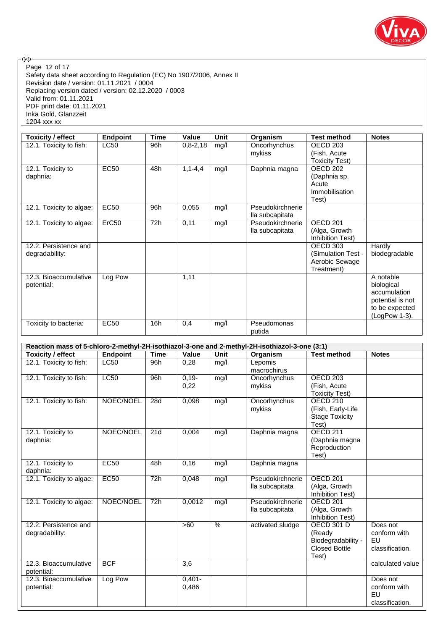

.® Page 12 of 17Safety data sheet according to Regulation (EC) No 1907/2006, Annex II Revision date / version: 01.11.2021 / 0004 Replacing version dated / version: 02.12.2020 / 0003 Valid from: 01.11.2021 PDF print date: 01.11.2021 Inka Gold, Glanzzeit 1204 xxx xx

| Toxicity / effect        | <b>Endpoint</b> | <b>Time</b> | Value         | <b>Unit</b> | Organism         | <b>Test method</b>    | <b>Notes</b>     |
|--------------------------|-----------------|-------------|---------------|-------------|------------------|-----------------------|------------------|
| 12.1. Toxicity to fish:  | <b>LC50</b>     | 96h         | $0,8-2,18$    | mg/l        | Oncorhynchus     | OECD <sub>203</sub>   |                  |
|                          |                 |             |               |             | mykiss           | (Fish, Acute          |                  |
|                          |                 |             |               |             |                  | <b>Toxicity Test)</b> |                  |
| 12.1. Toxicity to        | <b>EC50</b>     | 48h         | $1, 1 - 4, 4$ | mg/l        | Daphnia magna    | OECD 202              |                  |
| daphnia:                 |                 |             |               |             |                  | (Daphnia sp.          |                  |
|                          |                 |             |               |             |                  | Acute                 |                  |
|                          |                 |             |               |             |                  | Immobilisation        |                  |
|                          |                 |             |               |             |                  | Test)                 |                  |
| 12.1. Toxicity to algae: | <b>EC50</b>     | 96h         | 0,055         | mg/l        | Pseudokirchnerie |                       |                  |
|                          |                 |             |               |             | lla subcapitata  |                       |                  |
| 12.1. Toxicity to algae: | ErC50           | 72h         | 0,11          | mg/l        | Pseudokirchnerie | OECD <sub>201</sub>   |                  |
|                          |                 |             |               |             | lla subcapitata  | (Alga, Growth         |                  |
|                          |                 |             |               |             |                  | Inhibition Test)      |                  |
| 12.2. Persistence and    |                 |             |               |             |                  | OECD 303              | Hardly           |
| degradability:           |                 |             |               |             |                  | (Simulation Test -    | biodegradable    |
|                          |                 |             |               |             |                  | Aerobic Sewage        |                  |
|                          |                 |             |               |             |                  | Treatment)            |                  |
| 12.3. Bioaccumulative    | Log Pow         |             | 1,11          |             |                  |                       | A notable        |
| potential:               |                 |             |               |             |                  |                       | biological       |
|                          |                 |             |               |             |                  |                       | accumulation     |
|                          |                 |             |               |             |                  |                       | potential is not |
|                          |                 |             |               |             |                  |                       | to be expected   |
|                          |                 |             |               |             |                  |                       | (LogPow 1-3).    |
| Toxicity to bacteria:    | <b>EC50</b>     | 16h         | 0,4           | mg/l        | Pseudomonas      |                       |                  |
|                          |                 |             |               |             | putida           |                       |                  |

| Reaction mass of 5-chloro-2-methyl-2H-isothiazol-3-one and 2-methyl-2H-isothiazol-3-one (3:1) |                 |             |           |               |                  |                                   |                  |
|-----------------------------------------------------------------------------------------------|-----------------|-------------|-----------|---------------|------------------|-----------------------------------|------------------|
| Toxicity / effect                                                                             | <b>Endpoint</b> | <b>Time</b> | Value     | <b>Unit</b>   | Organism         | <b>Test method</b>                | <b>Notes</b>     |
| 12.1. Toxicity to fish:                                                                       | <b>LC50</b>     | 96h         | 0,28      | mq/l          | Lepomis          |                                   |                  |
|                                                                                               |                 |             |           |               | macrochirus      |                                   |                  |
| 12.1. Toxicity to fish:                                                                       | LC50            | 96h         | $0,19-$   | mg/l          | Oncorhynchus     | OECD <sub>203</sub>               |                  |
|                                                                                               |                 |             | 0,22      |               | mykiss           | (Fish, Acute                      |                  |
|                                                                                               |                 |             |           |               |                  | <b>Toxicity Test)</b>             |                  |
| 12.1. Toxicity to fish:                                                                       | NOEC/NOEL       | 28d         | 0,098     | mg/l          | Oncorhynchus     | OECD <sub>210</sub>               |                  |
|                                                                                               |                 |             |           |               | mykiss           | (Fish, Early-Life                 |                  |
|                                                                                               |                 |             |           |               |                  | <b>Stage Toxicity</b>             |                  |
|                                                                                               |                 |             |           |               |                  | Test)                             |                  |
| 12.1. Toxicity to                                                                             | NOEC/NOEL       | 21d         | 0,004     | mg/l          | Daphnia magna    | <b>OECD 211</b>                   |                  |
| daphnia:                                                                                      |                 |             |           |               |                  | (Daphnia magna                    |                  |
|                                                                                               |                 |             |           |               |                  | Reproduction                      |                  |
|                                                                                               |                 |             |           |               |                  | Test)                             |                  |
| 12.1. Toxicity to                                                                             | <b>EC50</b>     | 48h         | 0,16      | mg/l          | Daphnia magna    |                                   |                  |
| daphnia:                                                                                      |                 |             |           |               |                  |                                   |                  |
| 12.1. Toxicity to algae:                                                                      | EC50            | 72h         | 0,048     | mg/l          | Pseudokirchnerie | <b>OECD 201</b>                   |                  |
|                                                                                               |                 |             |           |               | lla subcapitata  | (Alga, Growth<br>Inhibition Test) |                  |
| 12.1. Toxicity to algae:                                                                      | NOEC/NOEL       | 72h         | 0,0012    | mg/l          | Pseudokirchnerie | OECD <sub>201</sub>               |                  |
|                                                                                               |                 |             |           |               | lla subcapitata  | (Alga, Growth                     |                  |
|                                                                                               |                 |             |           |               |                  | Inhibition Test)                  |                  |
| 12.2. Persistence and                                                                         |                 |             | >60       | $\frac{0}{0}$ | activated sludge | <b>OECD 301 D</b>                 | Does not         |
| degradability:                                                                                |                 |             |           |               |                  | (Ready                            | conform with     |
|                                                                                               |                 |             |           |               |                  | Biodegradability -                | <b>EU</b>        |
|                                                                                               |                 |             |           |               |                  | <b>Closed Bottle</b>              | classification.  |
|                                                                                               |                 |             |           |               |                  | Test)                             |                  |
| 12.3. Bioaccumulative                                                                         | <b>BCF</b>      |             | 3,6       |               |                  |                                   | calculated value |
| potential:                                                                                    |                 |             |           |               |                  |                                   |                  |
| 12.3. Bioaccumulative                                                                         | Log Pow         |             | $0,401 -$ |               |                  |                                   | Does not         |
| potential:                                                                                    |                 |             | 0,486     |               |                  |                                   | conform with     |
|                                                                                               |                 |             |           |               |                  |                                   | EU               |
|                                                                                               |                 |             |           |               |                  |                                   | classification.  |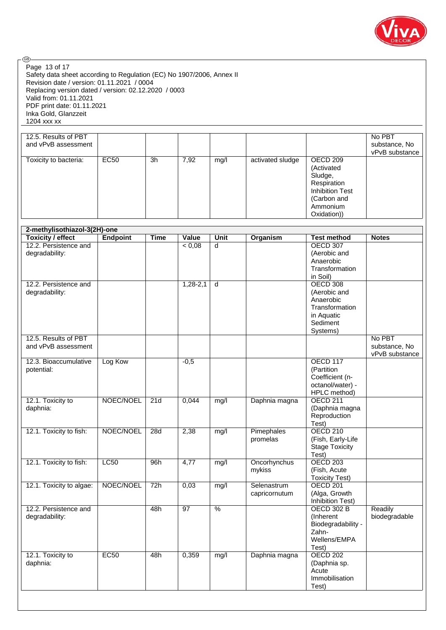

Safety data sheet according to Regulation (EC) No 1907/2006, Annex II Revision date / version: 01.11.2021 / 0004 Replacing version dated / version: 02.12.2020 / 0003 Valid from: 01.11.2021 PDF print date: 01.11.2021 Inka Gold, Glanzzeit 1204 xxx xx Page 13 of 17

| 12.5. Results of PBT<br>and vPvB assessment |             |    |      |      |                  |                                                                                                                      | No PBT<br>substance, No<br>vPvB substance |
|---------------------------------------------|-------------|----|------|------|------------------|----------------------------------------------------------------------------------------------------------------------|-------------------------------------------|
| Toxicity to bacteria:                       | <b>EC50</b> | 3h | 7,92 | mg/l | activated sludge | OECD 209<br>(Activated<br>Sludge,<br>Respiration<br><b>Inhibition Test</b><br>(Carbon and<br>Ammonium<br>Oxidation)) |                                           |

| 2-methylisothiazol-3(2H)-one                |                 |                  |                 |               |                              |                                                                                               |                                           |
|---------------------------------------------|-----------------|------------------|-----------------|---------------|------------------------------|-----------------------------------------------------------------------------------------------|-------------------------------------------|
| <b>Toxicity / effect</b>                    | <b>Endpoint</b> | <b>Time</b>      | Value           | Unit          | <b>Organism</b>              | <b>Test method</b>                                                                            | <b>Notes</b>                              |
| 12.2. Persistence and<br>degradability:     |                 |                  | < 0,08          | d             |                              | <b>OECD 307</b><br>(Aerobic and<br>Anaerobic<br>Transformation<br>in Soil)                    |                                           |
| 12.2. Persistence and<br>degradability:     |                 |                  | $1,28-2,1$      | d             |                              | OECD 308<br>(Aerobic and<br>Anaerobic<br>Transformation<br>in Aquatic<br>Sediment<br>Systems) |                                           |
| 12.5. Results of PBT<br>and vPvB assessment |                 |                  |                 |               |                              |                                                                                               | No PBT<br>substance, No<br>vPvB substance |
| 12.3. Bioaccumulative<br>potential:         | Log Kow         |                  | $-0,5$          |               |                              | <b>OECD 117</b><br>(Partition<br>Coefficient (n-<br>octanol/water) -<br>HPLC method)          |                                           |
| 12.1. Toxicity to<br>daphnia:               | NOEC/NOEL       | 21d              | 0,044           | mg/l          | Daphnia magna                | <b>OECD 211</b><br>(Daphnia magna<br>Reproduction<br>Test)                                    |                                           |
| 12.1. Toxicity to fish:                     | NOEC/NOEL       | 28d              | 2,38            | mg/l          | Pimephales<br>promelas       | <b>OECD 210</b><br>(Fish, Early-Life<br><b>Stage Toxicity</b><br>Test)                        |                                           |
| 12.1. Toxicity to fish:                     | LC50            | 96h              | 4,77            | mg/l          | Oncorhynchus<br>mykiss       | <b>OECD 203</b><br>(Fish, Acute<br><b>Toxicity Test)</b>                                      |                                           |
| 12.1. Toxicity to algae:                    | NOEC/NOEL       | $\overline{72h}$ | 0,03            | mg/l          | Selenastrum<br>capricornutum | <b>OECD 201</b><br>(Alga, Growth<br><b>Inhibition Test)</b>                                   |                                           |
| 12.2. Persistence and<br>degradability:     |                 | 48h              | $\overline{97}$ | $\frac{9}{6}$ |                              | <b>OECD 302 B</b><br>(Inherent)<br>Biodegradability -<br>Zahn-<br>Wellens/EMPA<br>Test)       | Readily<br>biodegradable                  |
| 12.1. Toxicity to<br>daphnia:               | EC50            | 48h              | 0,359           | mg/l          | Daphnia magna                | <b>OECD 202</b><br>(Daphnia sp.<br>Acute<br>Immobilisation<br>Test)                           |                                           |

.®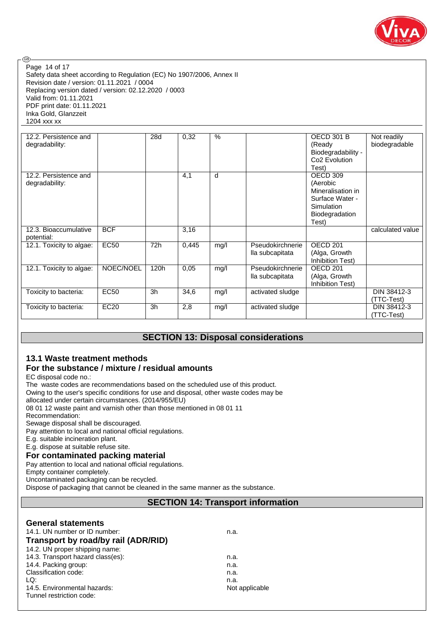

Safety data sheet according to Regulation (EC) No 1907/2006, Annex II Revision date / version: 01.11.2021 / 0004 Replacing version dated / version: 02.12.2020 / 0003 Valid from: 01.11.2021 PDF print date: 01.11.2021 Inka Gold, Glanzzeit 1204 xxx xx Page 14 of 17

| 12.2. Persistence and<br>degradability: |             | 28d            | 0,32  | $\%$ |                                     | OECD 301 B<br>(Ready<br>Biodegradability -<br>Co <sub>2</sub> Evolution                                               | Not readily<br>biodegradable |
|-----------------------------------------|-------------|----------------|-------|------|-------------------------------------|-----------------------------------------------------------------------------------------------------------------------|------------------------------|
| 12.2. Persistence and<br>degradability: |             |                | 4,1   | d    |                                     | Test)<br>OECD 309<br>(Aerobic<br>Mineralisation in<br>Surface Water -<br>Simulation<br><b>Biodegradation</b><br>Test) |                              |
| 12.3. Bioaccumulative<br>potential:     | <b>BCF</b>  |                | 3,16  |      |                                     |                                                                                                                       | calculated value             |
| 12.1. Toxicity to algae:                | <b>EC50</b> | 72h            | 0.445 | mg/l | Pseudokirchnerie<br>lla subcapitata | OECD <sub>201</sub><br>(Alga, Growth<br>Inhibition Test)                                                              |                              |
| 12.1. Toxicity to algae:                | NOEC/NOEL   | 120h           | 0,05  | mg/l | Pseudokirchnerie<br>lla subcapitata | OECD <sub>201</sub><br>(Alga, Growth<br>Inhibition Test)                                                              |                              |
| Toxicity to bacteria:                   | <b>EC50</b> | 3h             | 34,6  | mg/l | activated sludge                    |                                                                                                                       | DIN 38412-3<br>(TTC-Test)    |
| Toxicity to bacteria:                   | <b>EC20</b> | 3 <sub>h</sub> | 2,8   | mg/l | activated sludge                    |                                                                                                                       | DIN 38412-3<br>(TTC-Test)    |

## **SECTION 13: Disposal considerations**

## **13.1 Waste treatment methods**

## **For the substance / mixture / residual amounts**

EC disposal code no.:

@

The waste codes are recommendations based on the scheduled use of this product.

Owing to the user's specific conditions for use and disposal, other waste codes may be

allocated under certain circumstances. (2014/955/EU)

08 01 12 waste paint and varnish other than those mentioned in 08 01 11

Recommendation:

Sewage disposal shall be discouraged.

Pay attention to local and national official regulations.

E.g. suitable incineration plant.

E.g. dispose at suitable refuse site.

## **For contaminated packing material**

Pay attention to local and national official regulations.

Empty container completely.

Uncontaminated packaging can be recycled.

Dispose of packaging that cannot be cleaned in the same manner as the substance.

## **SECTION 14: Transport information**

## **General statements** 14.1. UN number or ID number: n.a. **Transport by road/by rail (ADR/RID)**

| Transport by road/by rail (ADR/RID) |                |
|-------------------------------------|----------------|
| 14.2. UN proper shipping name:      |                |
| 14.3. Transport hazard class(es):   | n.a.           |
| 14.4. Packing group:                | n.a.           |
| Classification code:                | n.a.           |
| LQ:                                 | n.a.           |
| 14.5. Environmental hazards:        | Not applicable |
| Tunnel restriction code:            |                |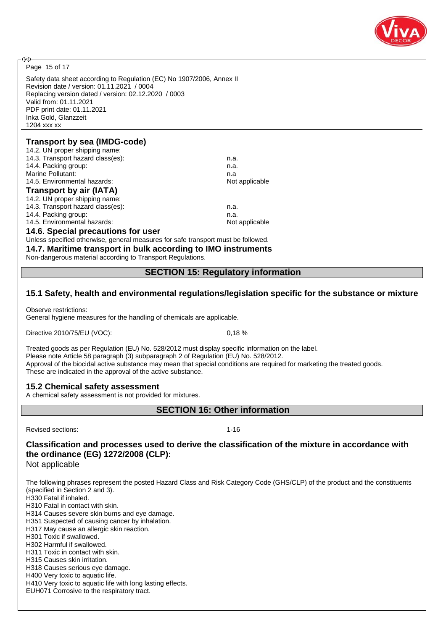

Page 15 of 17

**ි** 

Safety data sheet according to Regulation (EC) No 1907/2006, Annex II Revision date / version: 01.11.2021 / 0004 Replacing version dated / version: 02.12.2020 / 0003 Valid from: 01.11.2021 PDF print date: 01.11.2021 Inka Gold, Glanzzeit 1204 xxx xx

## **Transport by sea (IMDG-code)**

| 14.2. UN proper shipping name:     |                |
|------------------------------------|----------------|
| 14.3. Transport hazard class(es):  | n.a.           |
| 14.4. Packing group:               | n.a.           |
| Marine Pollutant:                  | n.a            |
| 14.5. Environmental hazards:       | Not applicable |
| <b>Transport by air (IATA)</b>     |                |
| 14.2. UN proper shipping name:     |                |
| 14.3. Transport hazard class(es):  | n.a.           |
| 14.4. Packing group:               | n.a.           |
| 14.5. Environmental hazards:       | Not applicable |
| 14.6. Special precautions for user |                |

Unless specified otherwise, general measures for safe transport must be followed.

**14.7. Maritime transport in bulk according to IMO instruments**

Non-dangerous material according to Transport Regulations.

## **SECTION 15: Regulatory information**

## **15.1 Safety, health and environmental regulations/legislation specific for the substance or mixture**

Observe restrictions:

General hygiene measures for the handling of chemicals are applicable.

Directive 2010/75/EU (VOC): 0,18 %

Treated goods as per Regulation (EU) No. 528/2012 must display specific information on the label. Please note Article 58 paragraph (3) subparagraph 2 of Regulation (EU) No. 528/2012. Approval of the biocidal active substance may mean that special conditions are required for marketing the treated goods. These are indicated in the approval of the active substance.

## **15.2 Chemical safety assessment**

A chemical safety assessment is not provided for mixtures.

**SECTION 16: Other information**

Revised sections: 1-16

**Classification and processes used to derive the classification of the mixture in accordance with the ordinance (EG) 1272/2008 (CLP):**

Not applicable

The following phrases represent the posted Hazard Class and Risk Category Code (GHS/CLP) of the product and the constituents (specified in Section 2 and 3).

H330 Fatal if inhaled.

H310 Fatal in contact with skin.

H314 Causes severe skin burns and eye damage.

H351 Suspected of causing cancer by inhalation.

H317 May cause an allergic skin reaction.

H301 Toxic if swallowed. H302 Harmful if swallowed.

H311 Toxic in contact with skin.

H315 Causes skin irritation.

H318 Causes serious eye damage.

H400 Very toxic to aquatic life.

H410 Very toxic to aquatic life with long lasting effects.

EUH071 Corrosive to the respiratory tract.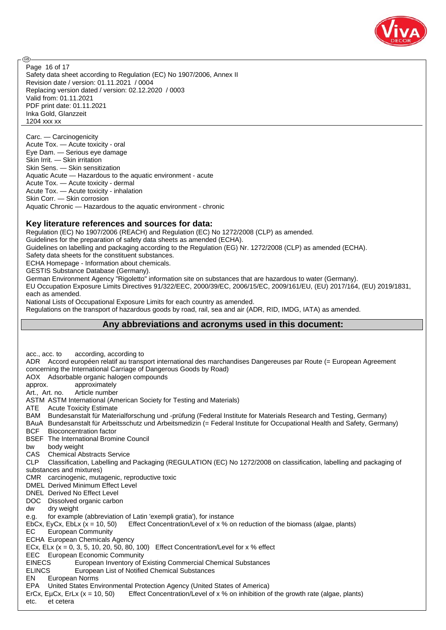

Safety data sheet according to Regulation (EC) No 1907/2006, Annex II Revision date / version: 01.11.2021 / 0004 Replacing version dated / version: 02.12.2020 / 0003 Valid from: 01.11.2021 PDF print date: 01.11.2021 Inka Gold, Glanzzeit 1204 xxx xx Page 16 of 17

Carc. — Carcinogenicity Acute Tox. — Acute toxicity - oral Eye Dam. — Serious eye damage Skin Irrit. — Skin irritation Skin Sens. — Skin sensitization Aquatic Acute — Hazardous to the aquatic environment - acute Acute Tox. — Acute toxicity - dermal Acute Tox. — Acute toxicity - inhalation Skin Corr. — Skin corrosion Aquatic Chronic — Hazardous to the aquatic environment - chronic

## **Key literature references and sources for data:**

Regulation (EC) No 1907/2006 (REACH) and Regulation (EC) No 1272/2008 (CLP) as amended.

Guidelines for the preparation of safety data sheets as amended (ECHA).

Guidelines on labelling and packaging according to the Regulation (EG) Nr. 1272/2008 (CLP) as amended (ECHA).

Safety data sheets for the constituent substances.

ECHA Homepage - Information about chemicals.

GESTIS Substance Database (Germany).

**ි** 

German Environment Agency "Rigoletto" information site on substances that are hazardous to water (Germany).

EU Occupation Exposure Limits Directives 91/322/EEC, 2000/39/EC, 2006/15/EC, 2009/161/EU, (EU) 2017/164, (EU) 2019/1831, each as amended.

National Lists of Occupational Exposure Limits for each country as amended.

Regulations on the transport of hazardous goods by road, rail, sea and air (ADR, RID, IMDG, IATA) as amended.

## **Any abbreviations and acronyms used in this document:**

acc., acc. to according, according to ADR Accord européen relatif au transport international des marchandises Dangereuses par Route (= European Agreement concerning the International Carriage of Dangerous Goods by Road) AOX Adsorbable organic halogen compounds approx. approximately Art., Art. no. Article number ASTM ASTM International (American Society for Testing and Materials) ATE Acute Toxicity Estimate BAM Bundesanstalt für Materialforschung und -prüfung (Federal Institute for Materials Research and Testing, Germany) BAuA Bundesanstalt für Arbeitsschutz und Arbeitsmedizin (= Federal Institute for Occupational Health and Safety, Germany) BCF Bioconcentration factor BSEF The International Bromine Council bw body weight CAS Chemical Abstracts Service CLP Classification, Labelling and Packaging (REGULATION (EC) No 1272/2008 on classification, labelling and packaging of substances and mixtures) CMR carcinogenic, mutagenic, reproductive toxic DMEL Derived Minimum Effect Level DNEL Derived No Effect Level DOC Dissolved organic carbon dw dry weight e.g. for example (abbreviation of Latin 'exempli gratia'), for instance EbCx, EyCx, EbLx  $(x = 10, 50)$  Effect Concentration/Level of x % on reduction of the biomass (algae, plants) EC European Community ECHA European Chemicals Agency ECx, ELx  $(x = 0, 3, 5, 10, 20, 50, 80, 100)$  Effect Concentration/Level for  $x \, %$  effect EEC European Economic Community EINECS European Inventory of Existing Commercial Chemical Substances ELINCS European List of Notified Chemical Substances EN European Norms EPA United States Environmental Protection Agency (United States of America) ErCx, EµCx, ErLx (x = 10, 50) Effect Concentration/Level of x % on inhibition of the growth rate (algae, plants) etc. et cetera